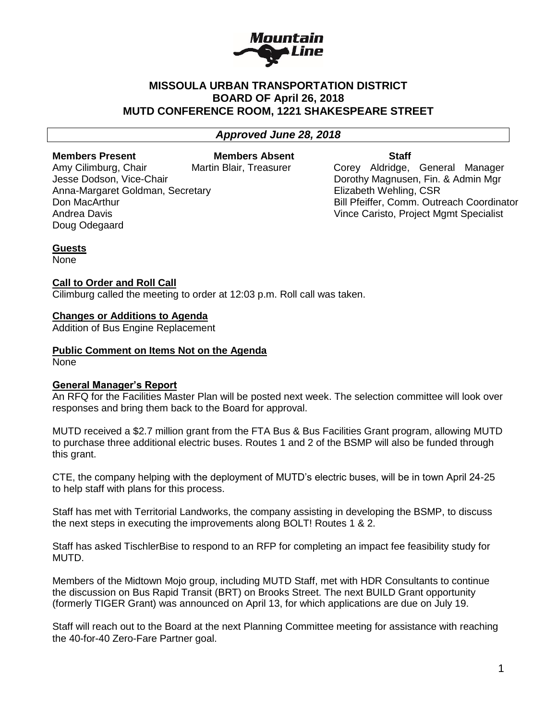

# **MISSOULA URBAN TRANSPORTATION DISTRICT BOARD OF April 26, 2018 MUTD CONFERENCE ROOM, 1221 SHAKESPEARE STREET**

# *Approved June 28, 2018*

Doug Odegaard

**Members Present Communist Communist Members Absent Communist Communist Communist Communist Communist Communist Communist Communist Communist Communist Communist Communist Communist Communist Communist Communist Communist** Anna-Margaret Goldman, Secretary **Elizabeth Wehling, CSR** 

Amy Cilimburg, Chair **Martin Blair, Treasurer** Corey Aldridge, General Manager Jesse Dodson, Vice-Chair **Domestian Construction Construction** Dorothy Magnusen, Fin. & Admin Mgr Don MacArthur Bill Pfeiffer, Comm. Outreach Coordinator Andrea Davis Vince Caristo, Project Mgmt Specialist

# **Guests**

None

# **Call to Order and Roll Call**

Cilimburg called the meeting to order at 12:03 p.m. Roll call was taken.

# **Changes or Additions to Agenda**

Addition of Bus Engine Replacement

# **Public Comment on Items Not on the Agenda**

None

# **General Manager's Report**

An RFQ for the Facilities Master Plan will be posted next week. The selection committee will look over responses and bring them back to the Board for approval.

MUTD received a \$2.7 million grant from the FTA Bus & Bus Facilities Grant program, allowing MUTD to purchase three additional electric buses. Routes 1 and 2 of the BSMP will also be funded through this grant.

CTE, the company helping with the deployment of MUTD's electric buses, will be in town April 24-25 to help staff with plans for this process.

Staff has met with Territorial Landworks, the company assisting in developing the BSMP, to discuss the next steps in executing the improvements along BOLT! Routes 1 & 2.

Staff has asked TischlerBise to respond to an RFP for completing an impact fee feasibility study for MUTD.

Members of the Midtown Mojo group, including MUTD Staff, met with HDR Consultants to continue the discussion on Bus Rapid Transit (BRT) on Brooks Street. The next BUILD Grant opportunity (formerly TIGER Grant) was announced on April 13, for which applications are due on July 19.

Staff will reach out to the Board at the next Planning Committee meeting for assistance with reaching the 40-for-40 Zero-Fare Partner goal.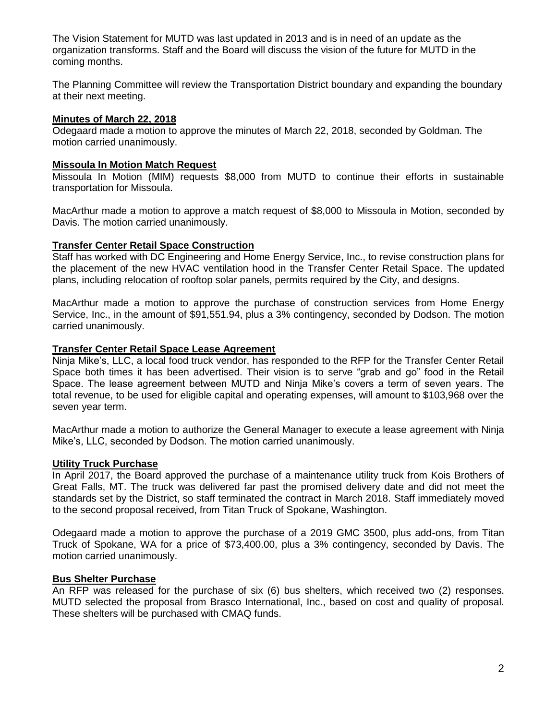The Vision Statement for MUTD was last updated in 2013 and is in need of an update as the organization transforms. Staff and the Board will discuss the vision of the future for MUTD in the coming months.

The Planning Committee will review the Transportation District boundary and expanding the boundary at their next meeting.

#### **Minutes of March 22, 2018**

Odegaard made a motion to approve the minutes of March 22, 2018, seconded by Goldman. The motion carried unanimously.

#### **Missoula In Motion Match Request**

Missoula In Motion (MIM) requests \$8,000 from MUTD to continue their efforts in sustainable transportation for Missoula.

MacArthur made a motion to approve a match request of \$8,000 to Missoula in Motion, seconded by Davis. The motion carried unanimously.

#### **Transfer Center Retail Space Construction**

Staff has worked with DC Engineering and Home Energy Service, Inc., to revise construction plans for the placement of the new HVAC ventilation hood in the Transfer Center Retail Space. The updated plans, including relocation of rooftop solar panels, permits required by the City, and designs.

MacArthur made a motion to approve the purchase of construction services from Home Energy Service, Inc., in the amount of \$91,551.94, plus a 3% contingency, seconded by Dodson. The motion carried unanimously.

#### **Transfer Center Retail Space Lease Agreement**

Ninja Mike's, LLC, a local food truck vendor, has responded to the RFP for the Transfer Center Retail Space both times it has been advertised. Their vision is to serve "grab and go" food in the Retail Space. The lease agreement between MUTD and Ninja Mike's covers a term of seven years. The total revenue, to be used for eligible capital and operating expenses, will amount to \$103,968 over the seven year term.

MacArthur made a motion to authorize the General Manager to execute a lease agreement with Ninja Mike's, LLC, seconded by Dodson. The motion carried unanimously.

#### **Utility Truck Purchase**

In April 2017, the Board approved the purchase of a maintenance utility truck from Kois Brothers of Great Falls, MT. The truck was delivered far past the promised delivery date and did not meet the standards set by the District, so staff terminated the contract in March 2018. Staff immediately moved to the second proposal received, from Titan Truck of Spokane, Washington.

Odegaard made a motion to approve the purchase of a 2019 GMC 3500, plus add-ons, from Titan Truck of Spokane, WA for a price of \$73,400.00, plus a 3% contingency, seconded by Davis. The motion carried unanimously.

#### **Bus Shelter Purchase**

An RFP was released for the purchase of six (6) bus shelters, which received two (2) responses. MUTD selected the proposal from Brasco International, Inc., based on cost and quality of proposal. These shelters will be purchased with CMAQ funds.